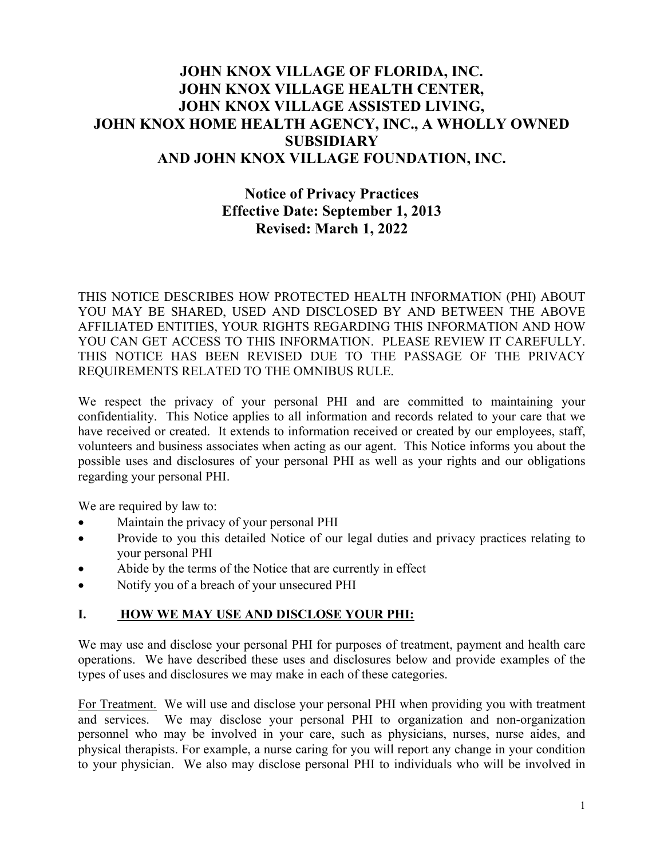# **JOHN KNOX VILLAGE OF FLORIDA, INC. JOHN KNOX VILLAGE HEALTH CENTER, JOHN KNOX VILLAGE ASSISTED LIVING, JOHN KNOX HOME HEALTH AGENCY, INC., A WHOLLY OWNED SUBSIDIARY AND JOHN KNOX VILLAGE FOUNDATION, INC.**

# **Notice of Privacy Practices Effective Date: September 1, 2013 Revised: March 1, 2022**

THIS NOTICE DESCRIBES HOW PROTECTED HEALTH INFORMATION (PHI) ABOUT YOU MAY BE SHARED, USED AND DISCLOSED BY AND BETWEEN THE ABOVE AFFILIATED ENTITIES, YOUR RIGHTS REGARDING THIS INFORMATION AND HOW YOU CAN GET ACCESS TO THIS INFORMATION. PLEASE REVIEW IT CAREFULLY. THIS NOTICE HAS BEEN REVISED DUE TO THE PASSAGE OF THE PRIVACY REQUIREMENTS RELATED TO THE OMNIBUS RULE.

We respect the privacy of your personal PHI and are committed to maintaining your confidentiality. This Notice applies to all information and records related to your care that we have received or created. It extends to information received or created by our employees, staff, volunteers and business associates when acting as our agent. This Notice informs you about the possible uses and disclosures of your personal PHI as well as your rights and our obligations regarding your personal PHI.

We are required by law to:

- Maintain the privacy of your personal PHI
- Provide to you this detailed Notice of our legal duties and privacy practices relating to your personal PHI
- Abide by the terms of the Notice that are currently in effect
- Notify you of a breach of your unsecured PHI

### **I. HOW WE MAY USE AND DISCLOSE YOUR PHI:**

We may use and disclose your personal PHI for purposes of treatment, payment and health care operations. We have described these uses and disclosures below and provide examples of the types of uses and disclosures we may make in each of these categories.

For Treatment. We will use and disclose your personal PHI when providing you with treatment and services. We may disclose your personal PHI to organization and non-organization personnel who may be involved in your care, such as physicians, nurses, nurse aides, and physical therapists. For example, a nurse caring for you will report any change in your condition to your physician. We also may disclose personal PHI to individuals who will be involved in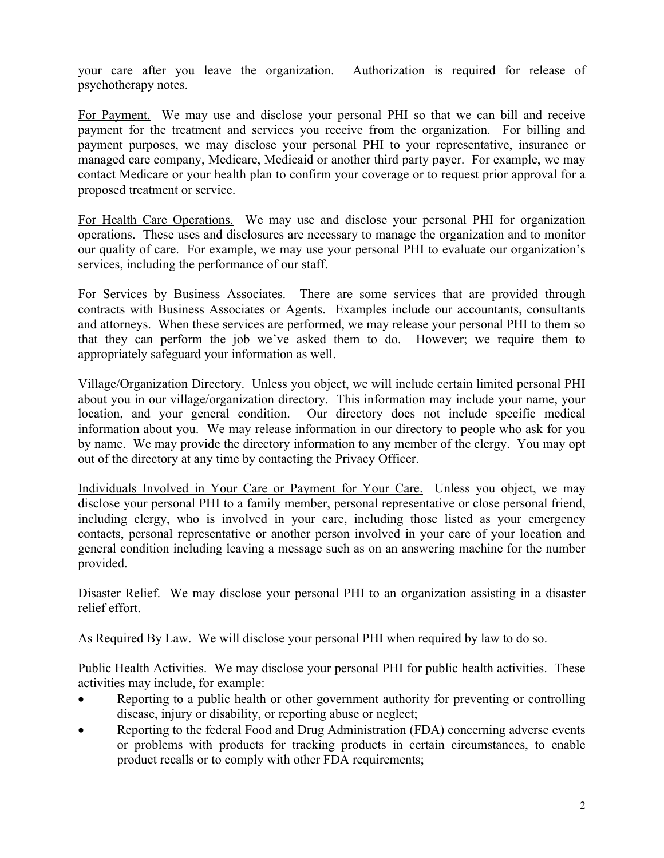your care after you leave the organization. Authorization is required for release of psychotherapy notes.

For Payment. We may use and disclose your personal PHI so that we can bill and receive payment for the treatment and services you receive from the organization. For billing and payment purposes, we may disclose your personal PHI to your representative, insurance or managed care company, Medicare, Medicaid or another third party payer. For example, we may contact Medicare or your health plan to confirm your coverage or to request prior approval for a proposed treatment or service.

For Health Care Operations. We may use and disclose your personal PHI for organization operations. These uses and disclosures are necessary to manage the organization and to monitor our quality of care. For example, we may use your personal PHI to evaluate our organization's services, including the performance of our staff.

For Services by Business Associates. There are some services that are provided through contracts with Business Associates or Agents. Examples include our accountants, consultants and attorneys. When these services are performed, we may release your personal PHI to them so that they can perform the job we've asked them to do. However; we require them to appropriately safeguard your information as well.

Village/Organization Directory. Unless you object, we will include certain limited personal PHI about you in our village/organization directory. This information may include your name, your location, and your general condition. Our directory does not include specific medical information about you. We may release information in our directory to people who ask for you by name. We may provide the directory information to any member of the clergy. You may opt out of the directory at any time by contacting the Privacy Officer.

Individuals Involved in Your Care or Payment for Your Care. Unless you object, we may disclose your personal PHI to a family member, personal representative or close personal friend, including clergy, who is involved in your care, including those listed as your emergency contacts, personal representative or another person involved in your care of your location and general condition including leaving a message such as on an answering machine for the number provided.

Disaster Relief. We may disclose your personal PHI to an organization assisting in a disaster relief effort.

As Required By Law. We will disclose your personal PHI when required by law to do so.

Public Health Activities. We may disclose your personal PHI for public health activities. These activities may include, for example:

- Reporting to a public health or other government authority for preventing or controlling disease, injury or disability, or reporting abuse or neglect;
- Reporting to the federal Food and Drug Administration (FDA) concerning adverse events or problems with products for tracking products in certain circumstances, to enable product recalls or to comply with other FDA requirements;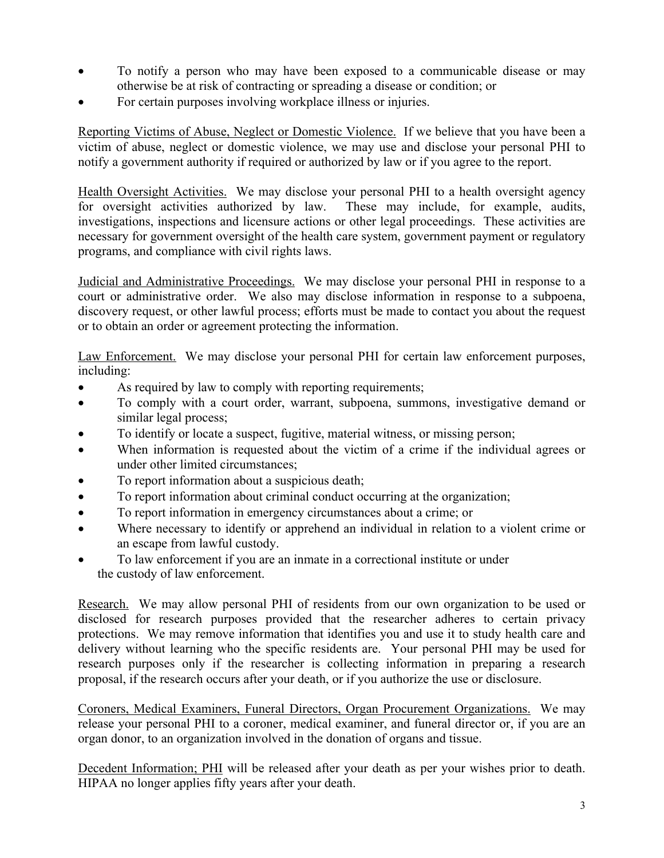- To notify a person who may have been exposed to a communicable disease or may otherwise be at risk of contracting or spreading a disease or condition; or
- For certain purposes involving workplace illness or injuries.

Reporting Victims of Abuse, Neglect or Domestic Violence. If we believe that you have been a victim of abuse, neglect or domestic violence, we may use and disclose your personal PHI to notify a government authority if required or authorized by law or if you agree to the report.

Health Oversight Activities. We may disclose your personal PHI to a health oversight agency for oversight activities authorized by law. These may include, for example, audits, investigations, inspections and licensure actions or other legal proceedings. These activities are necessary for government oversight of the health care system, government payment or regulatory programs, and compliance with civil rights laws.

Judicial and Administrative Proceedings. We may disclose your personal PHI in response to a court or administrative order. We also may disclose information in response to a subpoena, discovery request, or other lawful process; efforts must be made to contact you about the request or to obtain an order or agreement protecting the information.

Law Enforcement. We may disclose your personal PHI for certain law enforcement purposes, including:

- As required by law to comply with reporting requirements;
- To comply with a court order, warrant, subpoena, summons, investigative demand or similar legal process;
- To identify or locate a suspect, fugitive, material witness, or missing person;
- When information is requested about the victim of a crime if the individual agrees or under other limited circumstances;
- To report information about a suspicious death;
- To report information about criminal conduct occurring at the organization;
- To report information in emergency circumstances about a crime; or
- Where necessary to identify or apprehend an individual in relation to a violent crime or an escape from lawful custody.
- To law enforcement if you are an inmate in a correctional institute or under the custody of law enforcement.

Research. We may allow personal PHI of residents from our own organization to be used or disclosed for research purposes provided that the researcher adheres to certain privacy protections. We may remove information that identifies you and use it to study health care and delivery without learning who the specific residents are. Your personal PHI may be used for research purposes only if the researcher is collecting information in preparing a research proposal, if the research occurs after your death, or if you authorize the use or disclosure.

Coroners, Medical Examiners, Funeral Directors, Organ Procurement Organizations. We may release your personal PHI to a coroner, medical examiner, and funeral director or, if you are an organ donor, to an organization involved in the donation of organs and tissue.

Decedent Information; PHI will be released after your death as per your wishes prior to death. HIPAA no longer applies fifty years after your death.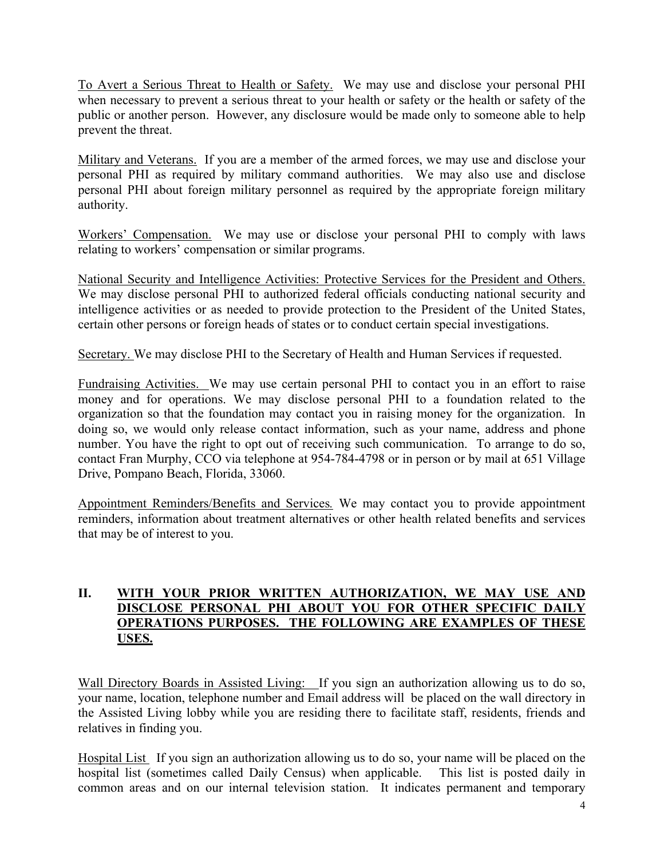To Avert a Serious Threat to Health or Safety. We may use and disclose your personal PHI when necessary to prevent a serious threat to your health or safety or the health or safety of the public or another person. However, any disclosure would be made only to someone able to help prevent the threat.

Military and Veterans. If you are a member of the armed forces, we may use and disclose your personal PHI as required by military command authorities. We may also use and disclose personal PHI about foreign military personnel as required by the appropriate foreign military authority.

Workers' Compensation. We may use or disclose your personal PHI to comply with laws relating to workers' compensation or similar programs.

National Security and Intelligence Activities: Protective Services for the President and Others. We may disclose personal PHI to authorized federal officials conducting national security and intelligence activities or as needed to provide protection to the President of the United States, certain other persons or foreign heads of states or to conduct certain special investigations.

Secretary. We may disclose PHI to the Secretary of Health and Human Services if requested.

Fundraising Activities. We may use certain personal PHI to contact you in an effort to raise money and for operations. We may disclose personal PHI to a foundation related to the organization so that the foundation may contact you in raising money for the organization. In doing so, we would only release contact information, such as your name, address and phone number. You have the right to opt out of receiving such communication. To arrange to do so, contact Fran Murphy, CCO via telephone at 954-784-4798 or in person or by mail at 651 Village Drive, Pompano Beach, Florida, 33060.

Appointment Reminders/Benefits and Services*.* We may contact you to provide appointment reminders, information about treatment alternatives or other health related benefits and services that may be of interest to you.

#### **II. WITH YOUR PRIOR WRITTEN AUTHORIZATION, WE MAY USE AND DISCLOSE PERSONAL PHI ABOUT YOU FOR OTHER SPECIFIC DAILY OPERATIONS PURPOSES. THE FOLLOWING ARE EXAMPLES OF THESE USES.**

Wall Directory Boards in Assisted Living: If you sign an authorization allowing us to do so, your name, location, telephone number and Email address will be placed on the wall directory in the Assisted Living lobby while you are residing there to facilitate staff, residents, friends and relatives in finding you.

Hospital List If you sign an authorization allowing us to do so, your name will be placed on the hospital list (sometimes called Daily Census) when applicable. This list is posted daily in common areas and on our internal television station. It indicates permanent and temporary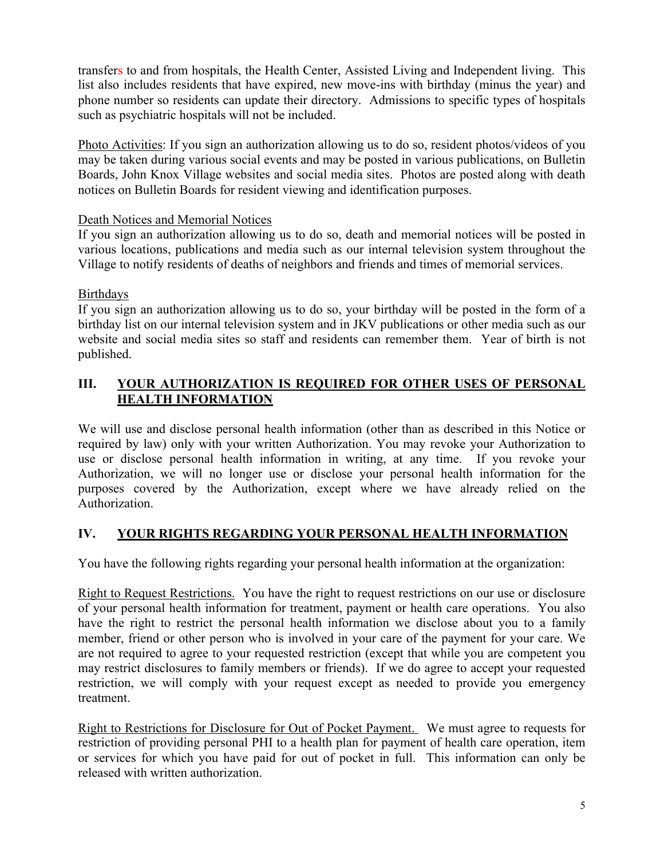transfers to and from hospitals, the Health Center, Assisted Living and Independent living. This list also includes residents that have expired, new move-ins with birthday (minus the year) and phone number so residents can update their directory. Admissions to specific types of hospitals such as psychiatric hospitals will not be included.

Photo Activities: If you sign an authorization allowing us to do so, resident photos/videos of you may be taken during various social events and may be posted in various publications, on Bulletin Boards, John Knox Village websites and social media sites. Photos are posted along with death notices on Bulletin Boards for resident viewing and identification purposes.

#### Death Notices and Memorial Notices

If you sign an authorization allowing us to do so, death and memorial notices will be posted in various locations, publications and media such as our internal television system throughout the Village to notify residents of deaths of neighbors and friends and times of memorial services.

#### Birthdays

If you sign an authorization allowing us to do so, your birthday will be posted in the form of a birthday list on our internal television system and in JKV publications or other media such as our website and social media sites so staff and residents can remember them. Year of birth is not published.

#### **III. YOUR AUTHORIZATION IS REQUIRED FOR OTHER USES OF PERSONAL HEALTH INFORMATION**

We will use and disclose personal health information (other than as described in this Notice or required by law) only with your written Authorization. You may revoke your Authorization to use or disclose personal health information in writing, at any time. If you revoke your Authorization, we will no longer use or disclose your personal health information for the purposes covered by the Authorization, except where we have already relied on the Authorization.

### **IV. YOUR RIGHTS REGARDING YOUR PERSONAL HEALTH INFORMATION**

You have the following rights regarding your personal health information at the organization:

Right to Request Restrictions. You have the right to request restrictions on our use or disclosure of your personal health information for treatment, payment or health care operations. You also have the right to restrict the personal health information we disclose about you to a family member, friend or other person who is involved in your care of the payment for your care. We are not required to agree to your requested restriction (except that while you are competent you may restrict disclosures to family members or friends). If we do agree to accept your requested restriction, we will comply with your request except as needed to provide you emergency treatment.

Right to Restrictions for Disclosure for Out of Pocket Payment. We must agree to requests for restriction of providing personal PHI to a health plan for payment of health care operation, item or services for which you have paid for out of pocket in full. This information can only be released with written authorization.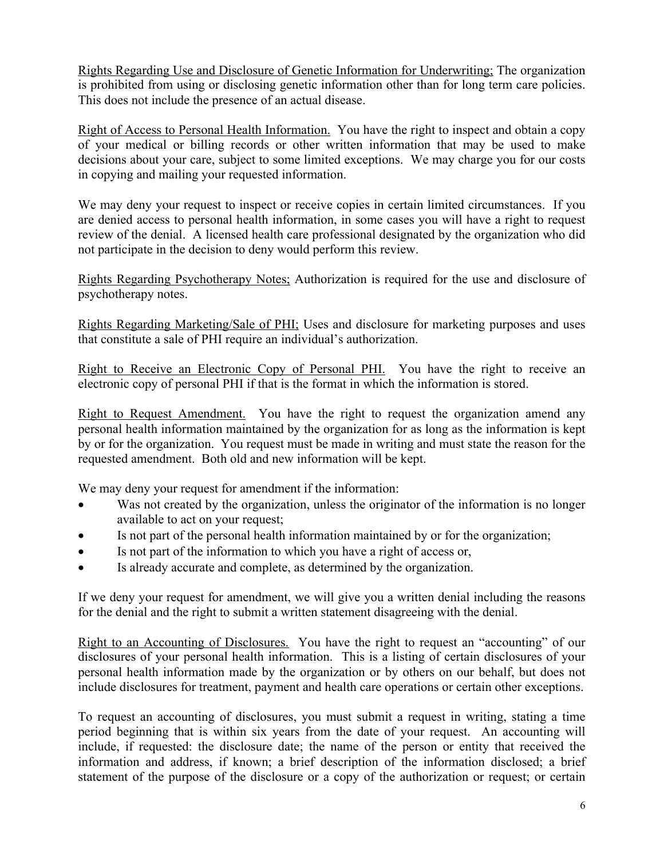Rights Regarding Use and Disclosure of Genetic Information for Underwriting; The organization is prohibited from using or disclosing genetic information other than for long term care policies. This does not include the presence of an actual disease.

Right of Access to Personal Health Information. You have the right to inspect and obtain a copy of your medical or billing records or other written information that may be used to make decisions about your care, subject to some limited exceptions. We may charge you for our costs in copying and mailing your requested information.

We may deny your request to inspect or receive copies in certain limited circumstances. If you are denied access to personal health information, in some cases you will have a right to request review of the denial. A licensed health care professional designated by the organization who did not participate in the decision to deny would perform this review.

Rights Regarding Psychotherapy Notes; Authorization is required for the use and disclosure of psychotherapy notes.

Rights Regarding Marketing/Sale of PHI; Uses and disclosure for marketing purposes and uses that constitute a sale of PHI require an individual's authorization.

Right to Receive an Electronic Copy of Personal PHI. You have the right to receive an electronic copy of personal PHI if that is the format in which the information is stored.

Right to Request Amendment. You have the right to request the organization amend any personal health information maintained by the organization for as long as the information is kept by or for the organization. You request must be made in writing and must state the reason for the requested amendment. Both old and new information will be kept.

We may deny your request for amendment if the information:

- Was not created by the organization, unless the originator of the information is no longer available to act on your request;
- Is not part of the personal health information maintained by or for the organization;
- Is not part of the information to which you have a right of access or,
- Is already accurate and complete, as determined by the organization.

If we deny your request for amendment, we will give you a written denial including the reasons for the denial and the right to submit a written statement disagreeing with the denial.

Right to an Accounting of Disclosures. You have the right to request an "accounting" of our disclosures of your personal health information. This is a listing of certain disclosures of your personal health information made by the organization or by others on our behalf, but does not include disclosures for treatment, payment and health care operations or certain other exceptions.

To request an accounting of disclosures, you must submit a request in writing, stating a time period beginning that is within six years from the date of your request. An accounting will include, if requested: the disclosure date; the name of the person or entity that received the information and address, if known; a brief description of the information disclosed; a brief statement of the purpose of the disclosure or a copy of the authorization or request; or certain